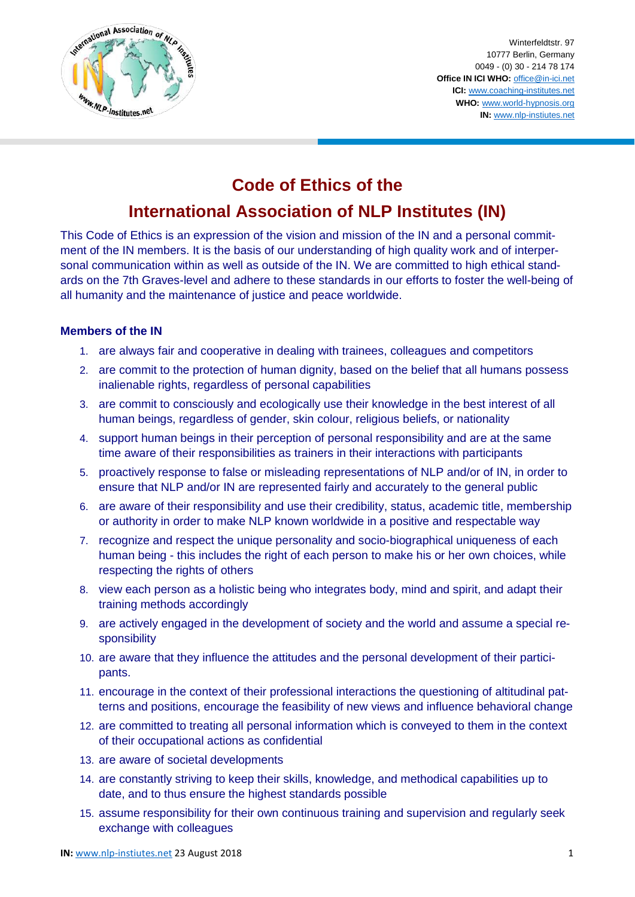

Winterfeldtstr. 97 10777 Berlin, Germany 0049 - (0) 30 - 214 78 174 **Office IN ICI WHO:** [office@in-ici.net](mailto:office@in-ici.net) **ICI:** [www.coaching-institutes.net](http://www.coaching-institutes.net/) **WHO:** [www.world-hypnosis.org](http://www.world-hypnosis.org/) **IN:** [www.nlp-instiutes.net](http://www.nlp-instiutes.net/)

## **Code of Ethics of the**

# **International Association of NLP Institutes (IN)**

This Code of Ethics is an expression of the vision and mission of the IN and a personal commitment of the IN members. It is the basis of our understanding of high quality work and of interpersonal communication within as well as outside of the IN. We are committed to high ethical standards on the 7th Graves-level and adhere to these standards in our efforts to foster the well-being of all humanity and the maintenance of justice and peace worldwide.

#### **Members of the IN**

- 1. are always fair and cooperative in dealing with trainees, colleagues and competitors
- 2. are commit to the protection of human dignity, based on the belief that all humans possess inalienable rights, regardless of personal capabilities
- 3. are commit to consciously and ecologically use their knowledge in the best interest of all human beings, regardless of gender, skin colour, religious beliefs, or nationality
- 4. support human beings in their perception of personal responsibility and are at the same time aware of their responsibilities as trainers in their interactions with participants
- 5. proactively response to false or misleading representations of NLP and/or of IN, in order to ensure that NLP and/or IN are represented fairly and accurately to the general public
- 6. are aware of their responsibility and use their credibility, status, academic title, membership or authority in order to make NLP known worldwide in a positive and respectable way
- 7. recognize and respect the unique personality and socio-biographical uniqueness of each human being - this includes the right of each person to make his or her own choices, while respecting the rights of others
- 8. view each person as a holistic being who integrates body, mind and spirit, and adapt their training methods accordingly
- 9. are actively engaged in the development of society and the world and assume a special responsibility
- 10. are aware that they influence the attitudes and the personal development of their participants.
- 11. encourage in the context of their professional interactions the questioning of altitudinal patterns and positions, encourage the feasibility of new views and influence behavioral change
- 12. are committed to treating all personal information which is conveyed to them in the context of their occupational actions as confidential
- 13. are aware of societal developments
- 14. are constantly striving to keep their skills, knowledge, and methodical capabilities up to date, and to thus ensure the highest standards possible
- 15. assume responsibility for their own continuous training and supervision and regularly seek exchange with colleagues